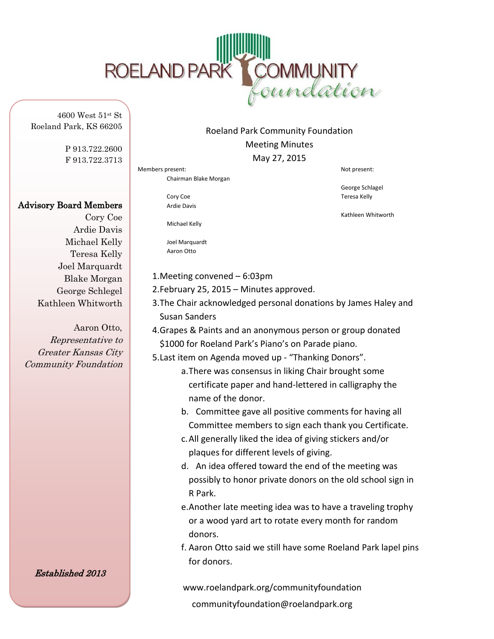

4600 West 51st St Roeland Park, KS 66205

> P 913.722.2600 F 913.722.3713

## Advisory Board Members

Cory Coe Ardie Davis Michael Kelly Teresa Kelly Joel Marquardt Blake Morgan George Schlegel Kathleen Whitworth

Aaron Otto, Representative to Greater Kansas City Community Foundation

Established 2013

## Roeland Park Community Foundation Meeting Minutes May 27, 2015

Members present:  $\blacksquare$ Chairman Blake Morgan

> Cory Coe Teresa Kelly Ardie Davis

Michael Kelly

Joel Marquardt Aaron Otto

- 1.Meeting convened 6:03pm
- 2.February 25, 2015 Minutes approved.
- 3.The Chair acknowledged personal donations by James Haley and Susan Sanders
- 4.Grapes & Paints and an anonymous person or group donated \$1000 for Roeland Park's Piano's on Parade piano.

5.Last item on Agenda moved up - "Thanking Donors".

- a.There was consensus in liking Chair brought some certificate paper and hand-lettered in calligraphy the name of the donor.
- b. Committee gave all positive comments for having all Committee members to sign each thank you Certificate.
- c.All generally liked the idea of giving stickers and/or plaques for different levels of giving.
- d. An idea offered toward the end of the meeting was possibly to honor private donors on the old school sign in R Park.
- e.Another late meeting idea was to have a traveling trophy or a wood yard art to rotate every month for random donors.
- f. Aaron Otto said we still have some Roeland Park lapel pins for donors.

www.roelandpark.org/communityfoundation communityfoundation@roelandpark.org

George Schlagel

Kathleen Whitworth